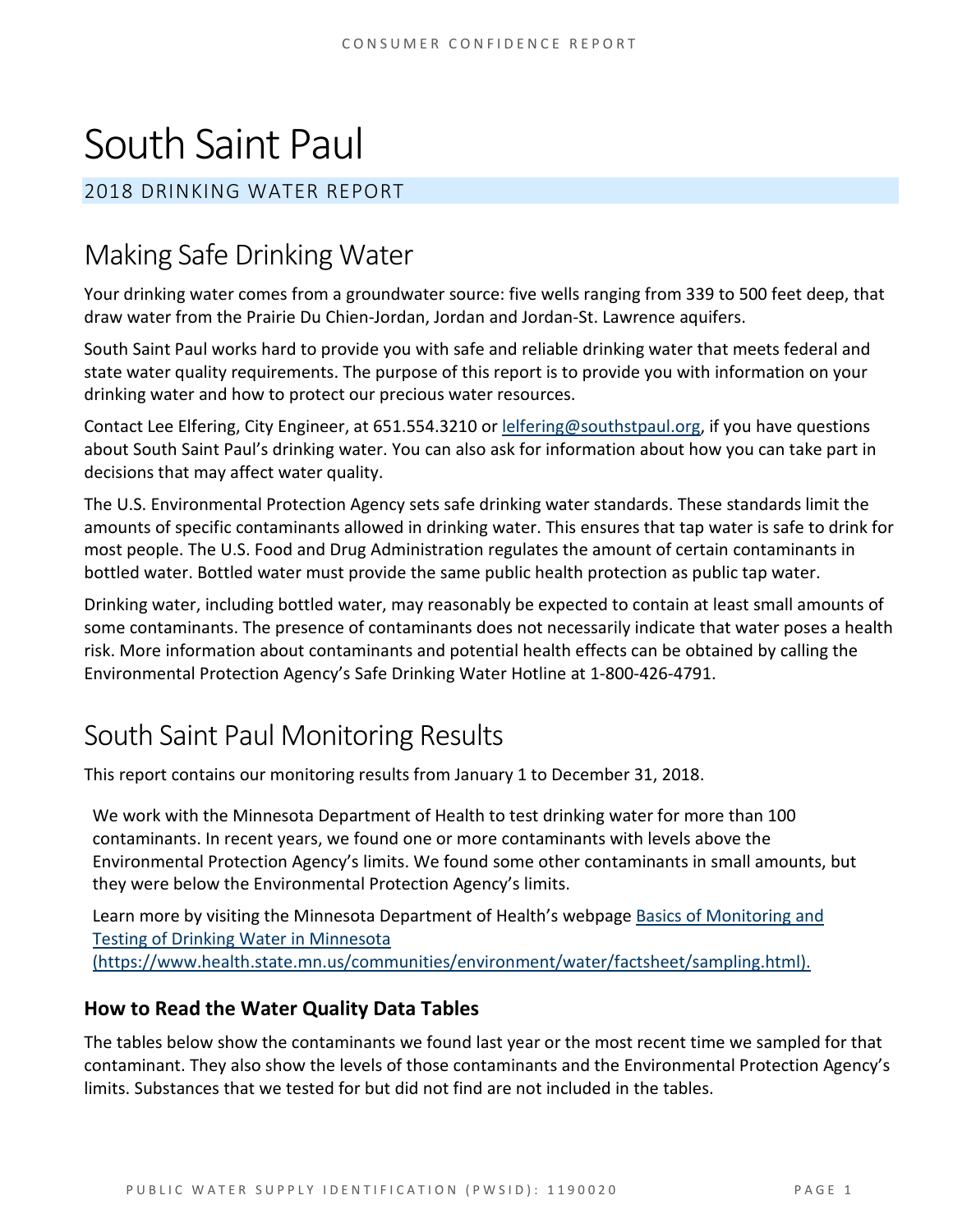# South Saint Paul

#### 2018 DRINKING WATER REPORT

## Making Safe Drinking Water

Your drinking water comes from a groundwater source: five wells ranging from 339 to 500 feet deep, that draw water from the Prairie Du Chien-Jordan, Jordan and Jordan-St. Lawrence aquifers.

South Saint Paul works hard to provide you with safe and reliable drinking water that meets federal and state water quality requirements. The purpose of this report is to provide you with information on your drinking water and how to protect our precious water resources.

Contact Lee Elfering, City Engineer, at 651.554.3210 o[r lelfering@southstpaul.org,](mailto:lelfering@southstpaul.org) if you have questions about South Saint Paul's drinking water. You can also ask for information about how you can take part in decisions that may affect water quality.

The U.S. Environmental Protection Agency sets safe drinking water standards. These standards limit the amounts of specific contaminants allowed in drinking water. This ensures that tap water is safe to drink for most people. The U.S. Food and Drug Administration regulates the amount of certain contaminants in bottled water. Bottled water must provide the same public health protection as public tap water.

Drinking water, including bottled water, may reasonably be expected to contain at least small amounts of some contaminants. The presence of contaminants does not necessarily indicate that water poses a health risk. More information about contaminants and potential health effects can be obtained by calling the Environmental Protection Agency's Safe Drinking Water Hotline at 1-800-426-4791.

### South Saint Paul Monitoring Results

This report contains our monitoring results from January 1 to December 31, 2018.

We work with the Minnesota Department of Health to test drinking water for more than 100 contaminants. In recent years, we found one or more contaminants with levels above the Environmental Protection Agency's limits. We found some other contaminants in small amounts, but they were below the Environmental Protection Agency's limits.

Learn more by visiting the Minnesota Department of Health's webpage Basics of Monitoring and [Testing of Drinking Water in Minnesota](https://www.health.state.mn.us/communities/environment/water/factsheet/sampling.html)  [\(https://www.health.state.mn.us/communities/environment/water/factsheet/sampling.html\).](https://www.health.state.mn.us/communities/environment/water/factsheet/sampling.html)

#### **How to Read the Water Quality Data Tables**

The tables below show the contaminants we found last year or the most recent time we sampled for that contaminant. They also show the levels of those contaminants and the Environmental Protection Agency's limits. Substances that we tested for but did not find are not included in the tables.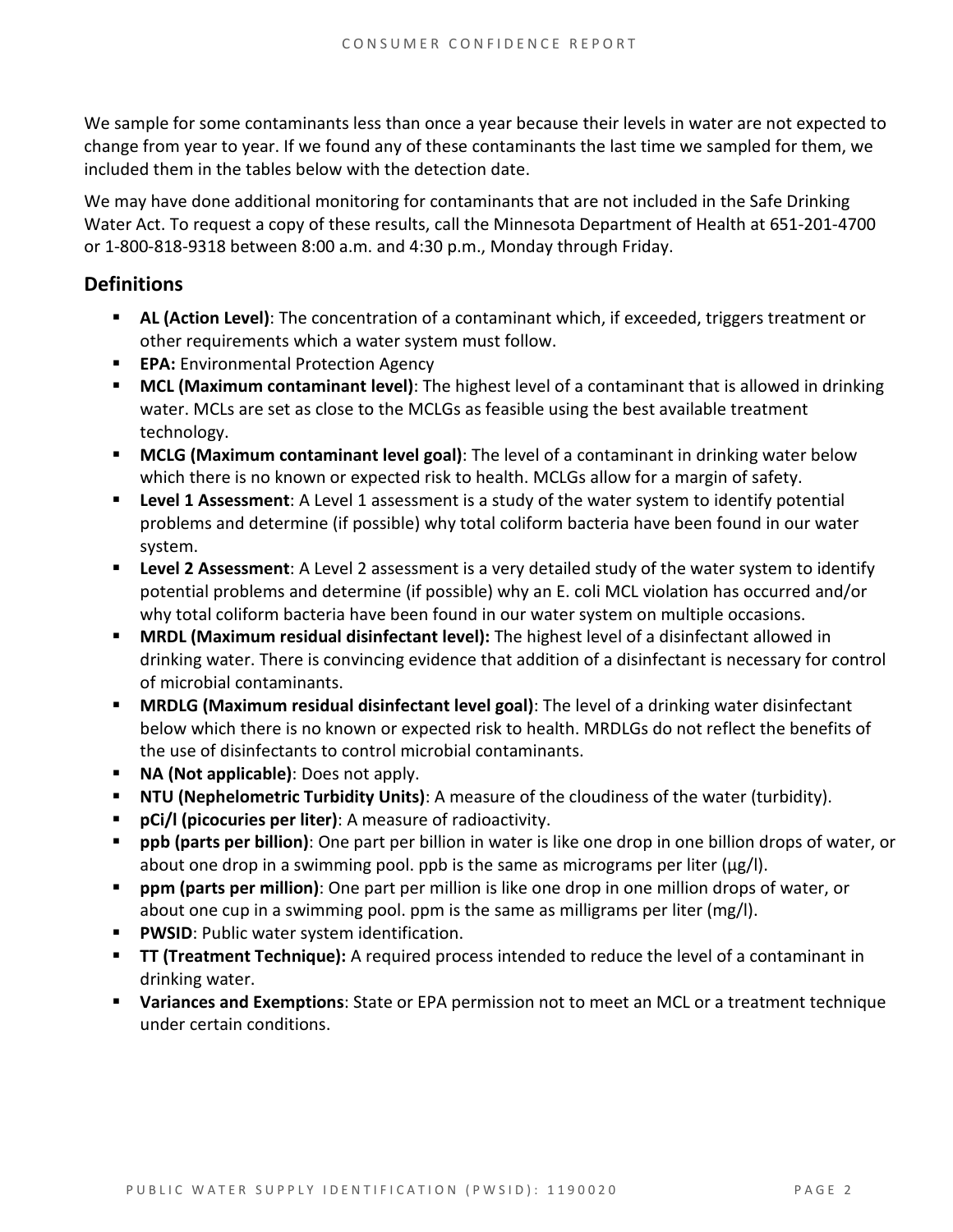We sample for some contaminants less than once a year because their levels in water are not expected to change from year to year. If we found any of these contaminants the last time we sampled for them, we included them in the tables below with the detection date.

We may have done additional monitoring for contaminants that are not included in the Safe Drinking Water Act. To request a copy of these results, call the Minnesota Department of Health at 651-201-4700 or 1-800-818-9318 between 8:00 a.m. and 4:30 p.m., Monday through Friday.

#### **Definitions**

- **AL (Action Level):** The concentration of a contaminant which, if exceeded, triggers treatment or other requirements which a water system must follow.
- **EPA:** Environmental Protection Agency
- **MCL (Maximum contaminant level)**: The highest level of a contaminant that is allowed in drinking water. MCLs are set as close to the MCLGs as feasible using the best available treatment technology.
- **MCLG (Maximum contaminant level goal)**: The level of a contaminant in drinking water below which there is no known or expected risk to health. MCLGs allow for a margin of safety.
- **Level 1 Assessment:** A Level 1 assessment is a study of the water system to identify potential problems and determine (if possible) why total coliform bacteria have been found in our water system.
- **Level 2 Assessment**: A Level 2 assessment is a very detailed study of the water system to identify potential problems and determine (if possible) why an E. coli MCL violation has occurred and/or why total coliform bacteria have been found in our water system on multiple occasions.
- **MRDL (Maximum residual disinfectant level):** The highest level of a disinfectant allowed in drinking water. There is convincing evidence that addition of a disinfectant is necessary for control of microbial contaminants.
- **MRDLG (Maximum residual disinfectant level goal)**: The level of a drinking water disinfectant below which there is no known or expected risk to health. MRDLGs do not reflect the benefits of the use of disinfectants to control microbial contaminants.
- **NA (Not applicable)**: Does not apply.
- **NTU (Nephelometric Turbidity Units)**: A measure of the cloudiness of the water (turbidity).
- **pCi/l (picocuries per liter)**: A measure of radioactivity.
- **ppb (parts per billion)**: One part per billion in water is like one drop in one billion drops of water, or about one drop in a swimming pool. ppb is the same as micrograms per liter ( $\mu$ g/l).
- **ppm (parts per million)**: One part per million is like one drop in one million drops of water, or about one cup in a swimming pool. ppm is the same as milligrams per liter (mg/l).
- **PWSID:** Public water system identification.
- **TT (Treatment Technique):** A required process intended to reduce the level of a contaminant in drinking water.
- **Variances and Exemptions**: State or EPA permission not to meet an MCL or a treatment technique under certain conditions.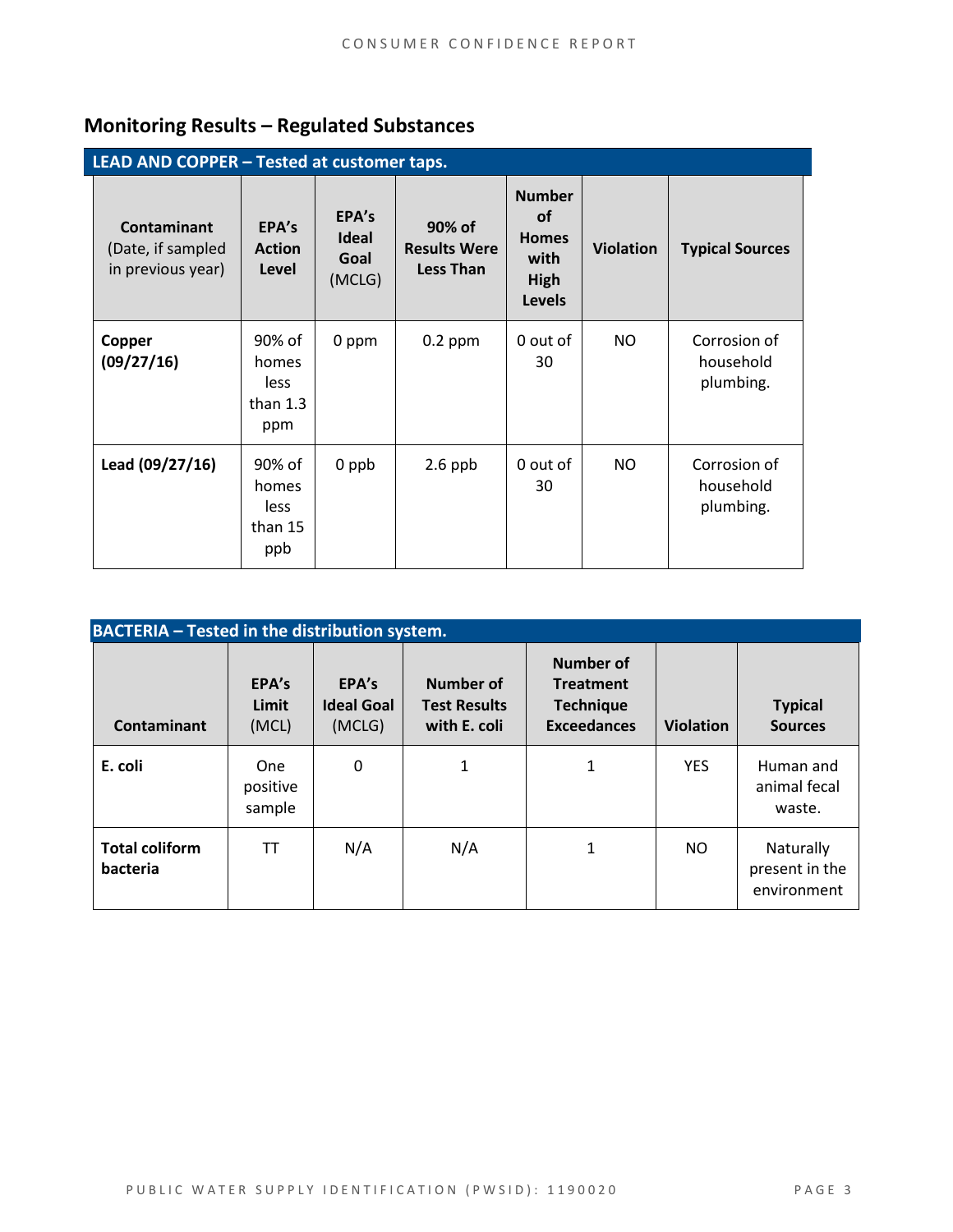### **Monitoring Results – Regulated Substances**

| LEAD AND COPPER - Tested at customer taps.                   |                                              |                                  |                                                   |                                                                             |                  |                                        |
|--------------------------------------------------------------|----------------------------------------------|----------------------------------|---------------------------------------------------|-----------------------------------------------------------------------------|------------------|----------------------------------------|
| <b>Contaminant</b><br>(Date, if sampled<br>in previous year) | EPA's<br><b>Action</b><br>Level              | EPA's<br>Ideal<br>Goal<br>(MCLG) | 90% of<br><b>Results Were</b><br><b>Less Than</b> | <b>Number</b><br><b>of</b><br><b>Homes</b><br>with<br>High<br><b>Levels</b> | <b>Violation</b> | <b>Typical Sources</b>                 |
| Copper<br>(09/27/16)                                         | 90% of<br>homes<br>less<br>than $1.3$<br>ppm | 0 ppm                            | $0.2$ ppm                                         | 0 out of<br>30                                                              | NO               | Corrosion of<br>household<br>plumbing. |
| Lead (09/27/16)                                              | 90% of<br>homes<br>less<br>than 15<br>ppb    | 0 ppb                            | $2.6$ ppb                                         | 0 out of<br>30                                                              | NO               | Corrosion of<br>household<br>plumbing. |

| <b>BACTERIA - Tested in the distribution system.</b> |                                  |                                      |                                                  |                                                                         |                  |                                            |  |
|------------------------------------------------------|----------------------------------|--------------------------------------|--------------------------------------------------|-------------------------------------------------------------------------|------------------|--------------------------------------------|--|
| Contaminant                                          | EPA's<br>Limit<br>(MCL)          | EPA's<br><b>Ideal Goal</b><br>(MCLG) | Number of<br><b>Test Results</b><br>with E. coli | Number of<br><b>Treatment</b><br><b>Technique</b><br><b>Exceedances</b> | <b>Violation</b> | <b>Typical</b><br><b>Sources</b>           |  |
| E. coli                                              | <b>One</b><br>positive<br>sample | 0                                    | 1                                                | 1                                                                       | <b>YES</b>       | Human and<br>animal fecal<br>waste.        |  |
| <b>Total coliform</b><br>bacteria                    | TT                               | N/A                                  | N/A                                              | 1                                                                       | NO.              | Naturally<br>present in the<br>environment |  |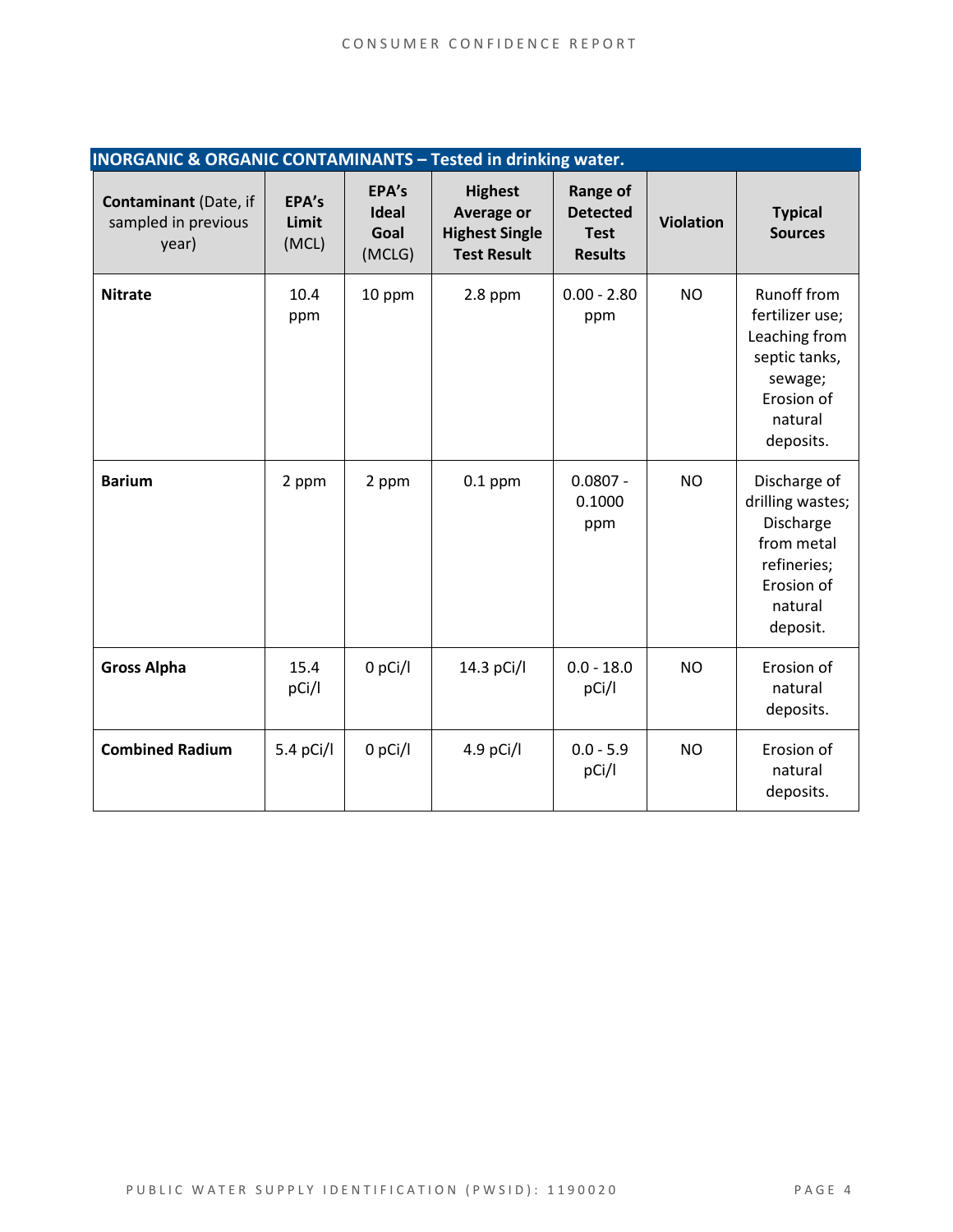| <b>INORGANIC &amp; ORGANIC CONTAMINANTS - Tested in drinking water.</b> |                         |                                  |                                                                             |                                                                     |                  |                                                                                                                          |
|-------------------------------------------------------------------------|-------------------------|----------------------------------|-----------------------------------------------------------------------------|---------------------------------------------------------------------|------------------|--------------------------------------------------------------------------------------------------------------------------|
| <b>Contaminant</b> (Date, if<br>sampled in previous<br>year)            | EPA's<br>Limit<br>(MCL) | EPA's<br>Ideal<br>Goal<br>(MCLG) | <b>Highest</b><br>Average or<br><b>Highest Single</b><br><b>Test Result</b> | <b>Range of</b><br><b>Detected</b><br><b>Test</b><br><b>Results</b> | <b>Violation</b> | <b>Typical</b><br><b>Sources</b>                                                                                         |
| <b>Nitrate</b>                                                          | 10.4<br>ppm             | 10 ppm                           | $2.8$ ppm                                                                   | $0.00 - 2.80$<br>ppm                                                | <b>NO</b>        | <b>Runoff from</b><br>fertilizer use;<br>Leaching from<br>septic tanks,<br>sewage;<br>Erosion of<br>natural<br>deposits. |
| <b>Barium</b>                                                           | 2 ppm                   | 2 ppm                            | $0.1$ ppm                                                                   | $0.0807 -$<br>0.1000<br>ppm                                         | <b>NO</b>        | Discharge of<br>drilling wastes;<br>Discharge<br>from metal<br>refineries;<br>Erosion of<br>natural<br>deposit.          |
| <b>Gross Alpha</b>                                                      | 15.4<br>pCi/l           | 0 pCi/l                          | 14.3 pCi/l                                                                  | $0.0 - 18.0$<br>pCi/l                                               | <b>NO</b>        | Erosion of<br>natural<br>deposits.                                                                                       |
| <b>Combined Radium</b>                                                  | 5.4 $pCi/I$             | $0$ pCi/l                        | 4.9 pCi/l                                                                   | $0.0 - 5.9$<br>pCi/l                                                | <b>NO</b>        | Erosion of<br>natural<br>deposits.                                                                                       |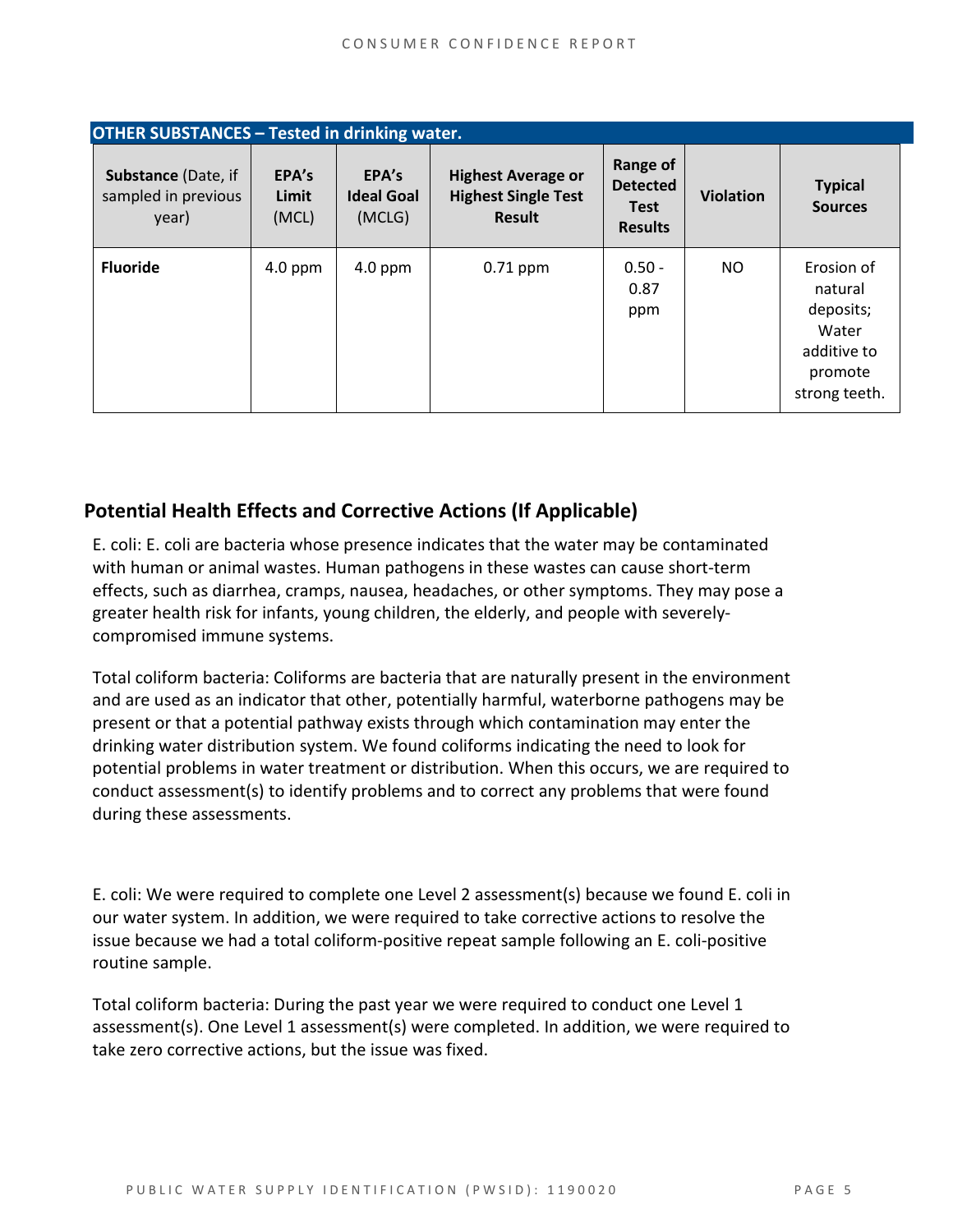| <b>OTHER SUBSTANCES - Tested in drinking water.</b>        |                         |                                      |                                                                   |                                                              |                  |                                                                                        |
|------------------------------------------------------------|-------------------------|--------------------------------------|-------------------------------------------------------------------|--------------------------------------------------------------|------------------|----------------------------------------------------------------------------------------|
| <b>Substance (Date, if</b><br>sampled in previous<br>year) | EPA's<br>Limit<br>(MCL) | EPA's<br><b>Ideal Goal</b><br>(MCLG) | <b>Highest Average or</b><br><b>Highest Single Test</b><br>Result | Range of<br><b>Detected</b><br><b>Test</b><br><b>Results</b> | <b>Violation</b> | <b>Typical</b><br><b>Sources</b>                                                       |
| <b>Fluoride</b>                                            | $4.0$ ppm               | $4.0$ ppm                            | $0.71$ ppm                                                        | $0.50 -$<br>0.87<br>ppm                                      | <b>NO</b>        | Erosion of<br>natural<br>deposits;<br>Water<br>additive to<br>promote<br>strong teeth. |

#### **Potential Health Effects and Corrective Actions (If Applicable)**

E. coli: E. coli are bacteria whose presence indicates that the water may be contaminated with human or animal wastes. Human pathogens in these wastes can cause short-term effects, such as diarrhea, cramps, nausea, headaches, or other symptoms. They may pose a greater health risk for infants, young children, the elderly, and people with severelycompromised immune systems.

Total coliform bacteria: Coliforms are bacteria that are naturally present in the environment and are used as an indicator that other, potentially harmful, waterborne pathogens may be present or that a potential pathway exists through which contamination may enter the drinking water distribution system. We found coliforms indicating the need to look for potential problems in water treatment or distribution. When this occurs, we are required to conduct assessment(s) to identify problems and to correct any problems that were found during these assessments.

E. coli: We were required to complete one Level 2 assessment(s) because we found E. coli in our water system. In addition, we were required to take corrective actions to resolve the issue because we had a total coliform-positive repeat sample following an E. coli-positive routine sample.

Total coliform bacteria: During the past year we were required to conduct one Level 1 assessment(s). One Level 1 assessment(s) were completed. In addition, we were required to take zero corrective actions, but the issue was fixed.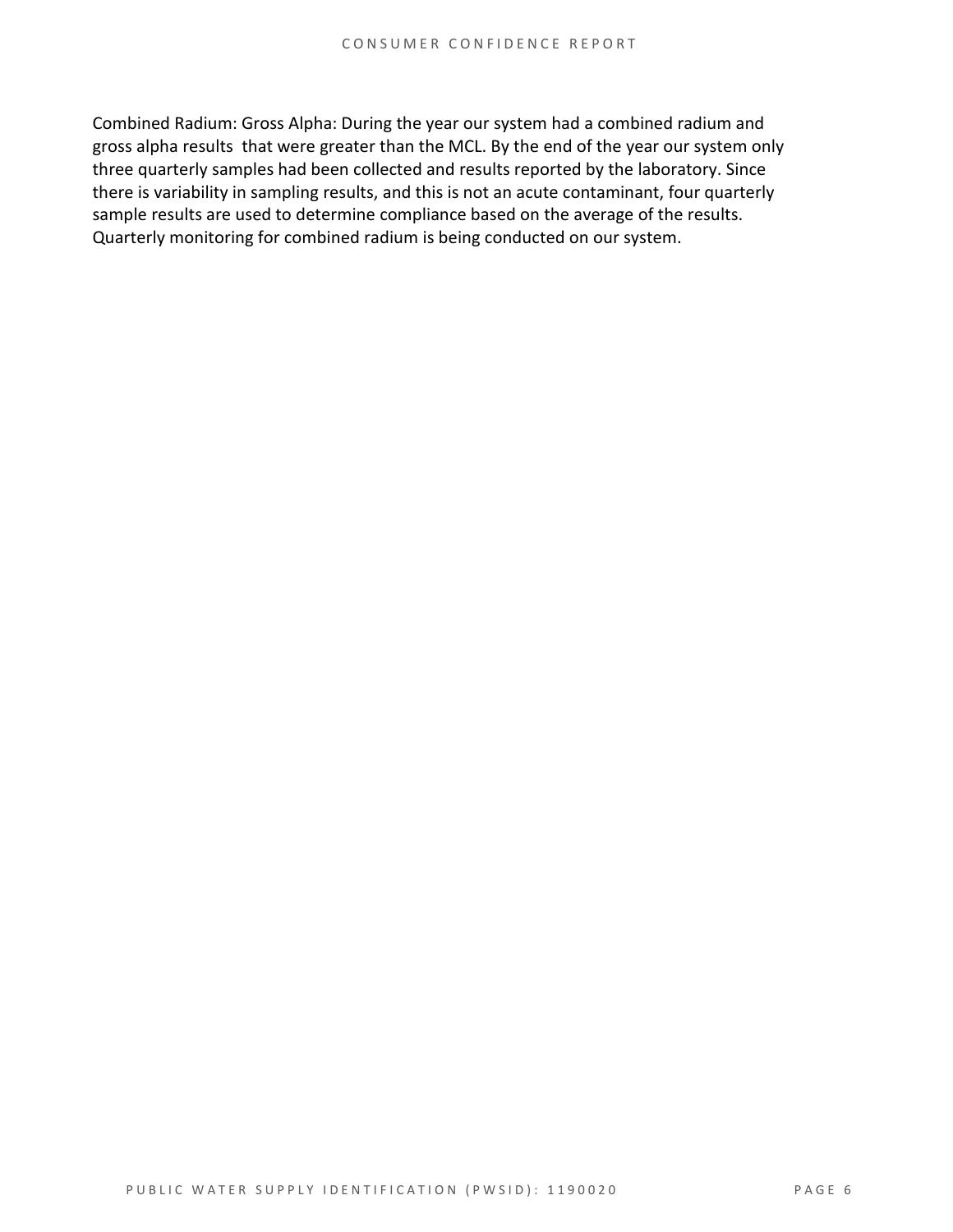Combined Radium: Gross Alpha: During the year our system had a combined radium and gross alpha results that were greater than the MCL. By the end of the year our system only three quarterly samples had been collected and results reported by the laboratory. Since there is variability in sampling results, and this is not an acute contaminant, four quarterly sample results are used to determine compliance based on the average of the results. Quarterly monitoring for combined radium is being conducted on our system.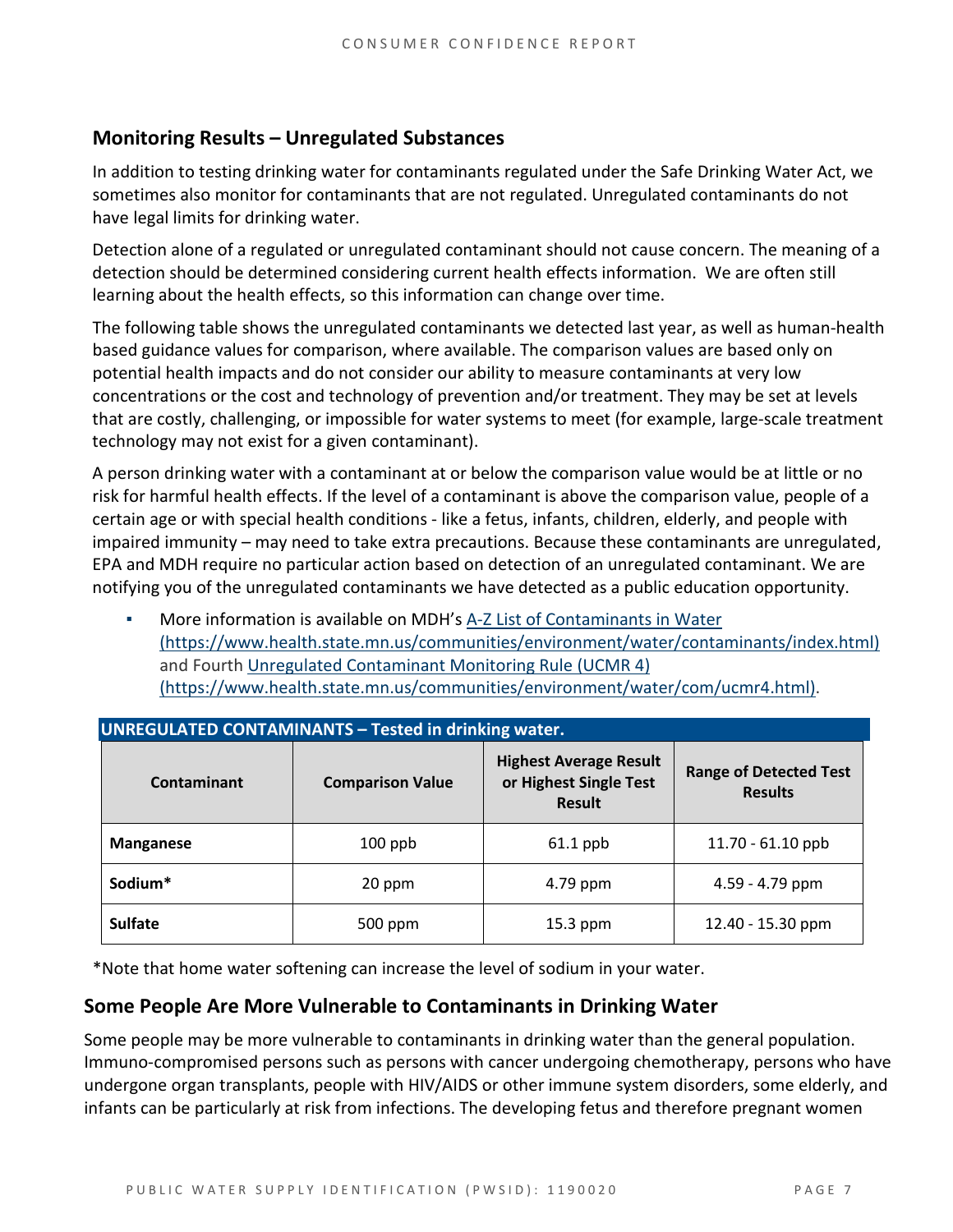#### **Monitoring Results – Unregulated Substances**

In addition to testing drinking water for contaminants regulated under the Safe Drinking Water Act, we sometimes also monitor for contaminants that are not regulated. Unregulated contaminants do not have legal limits for drinking water.

Detection alone of a regulated or unregulated contaminant should not cause concern. The meaning of a detection should be determined considering current health effects information. We are often still learning about the health effects, so this information can change over time.

The following table shows the unregulated contaminants we detected last year, as well as human-health based guidance values for comparison, where available. The comparison values are based only on potential health impacts and do not consider our ability to measure contaminants at very low concentrations or the cost and technology of prevention and/or treatment. They may be set at levels that are costly, challenging, or impossible for water systems to meet (for example, large-scale treatment technology may not exist for a given contaminant).

A person drinking water with a contaminant at or below the comparison value would be at little or no risk for harmful health effects. If the level of a contaminant is above the comparison value, people of a certain age or with special health conditions - like a fetus, infants, children, elderly, and people with impaired immunity – may need to take extra precautions. Because these contaminants are unregulated, EPA and MDH require no particular action based on detection of an unregulated contaminant. We are notifying you of the unregulated contaminants we have detected as a public education opportunity.

More information is available on MDH's A-Z List of Contaminants in Water [\(https://www.health.state.mn.us/communities/environment/water/contaminants/index.html\)](https://www.health.state.mn.us/communities/environment/water/contaminants/index.html) and Fourth [Unregulated Contaminant Monitoring Rule \(UCMR 4\)](https://www.health.state.mn.us/communities/environment/water/com/ucmr4.html)  [\(https://www.health.state.mn.us/communities/environment/water/com/ucmr4.html\).](https://www.health.state.mn.us/communities/environment/water/com/ucmr4.html)

| <b>UNREGULATED CONTAMINANTS - Tested in drinking water.</b> |                         |            |                                                 |  |  |  |  |
|-------------------------------------------------------------|-------------------------|------------|-------------------------------------------------|--|--|--|--|
| Contaminant                                                 | <b>Comparison Value</b> |            | <b>Range of Detected Test</b><br><b>Results</b> |  |  |  |  |
| <b>Manganese</b>                                            | $100$ ppb               | $61.1$ ppb | 11.70 - 61.10 ppb                               |  |  |  |  |
| Sodium*<br>20 ppm                                           |                         | 4.79 ppm   | 4.59 - 4.79 ppm                                 |  |  |  |  |
| <b>Sulfate</b>                                              | 500 ppm                 | $15.3$ ppm | 12.40 - 15.30 ppm                               |  |  |  |  |

\*Note that home water softening can increase the level of sodium in your water.

#### **Some People Are More Vulnerable to Contaminants in Drinking Water**

Some people may be more vulnerable to contaminants in drinking water than the general population. Immuno-compromised persons such as persons with cancer undergoing chemotherapy, persons who have undergone organ transplants, people with HIV/AIDS or other immune system disorders, some elderly, and infants can be particularly at risk from infections. The developing fetus and therefore pregnant women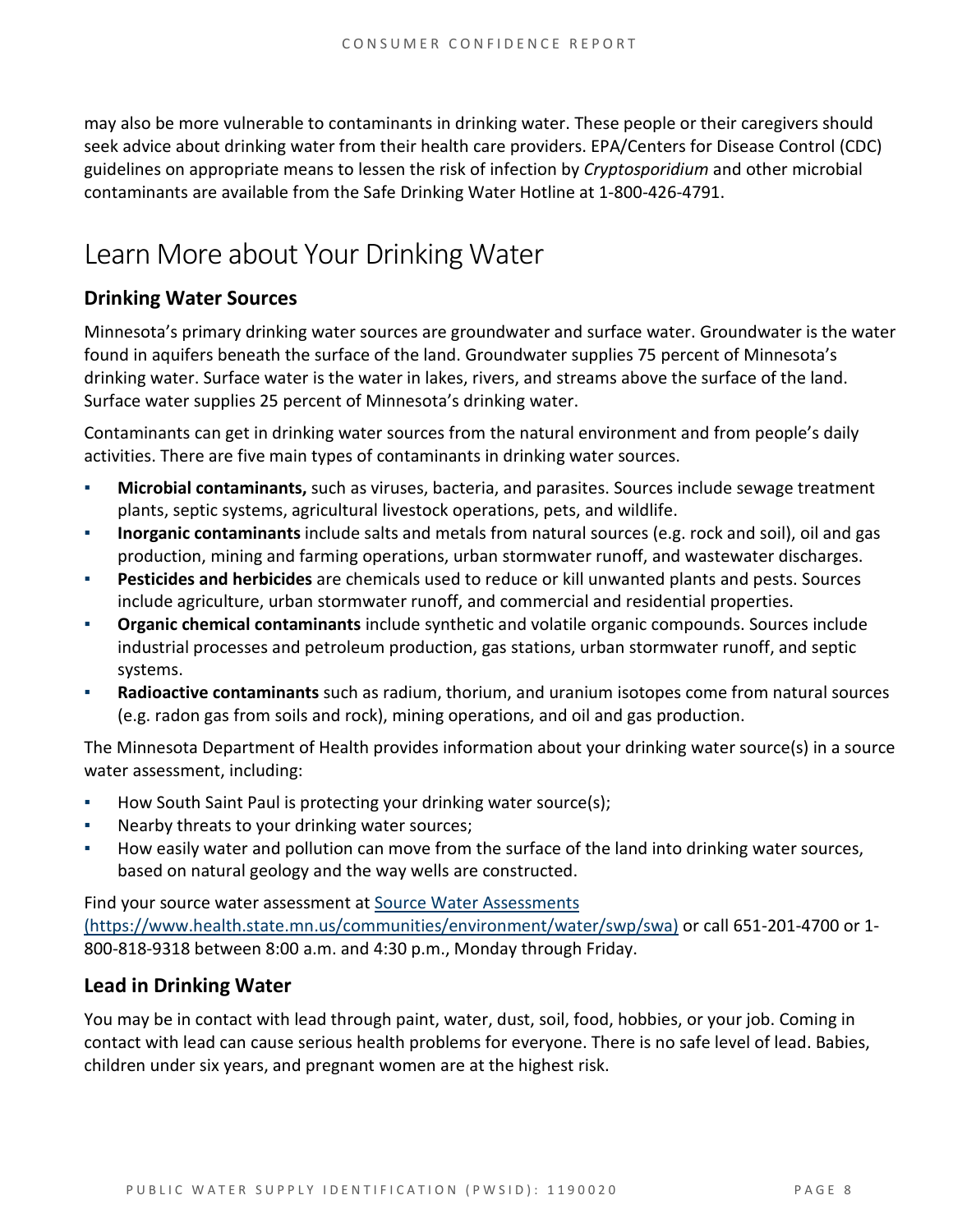may also be more vulnerable to contaminants in drinking water. These people or their caregivers should seek advice about drinking water from their health care providers. EPA/Centers for Disease Control (CDC) guidelines on appropriate means to lessen the risk of infection by *Cryptosporidium* and other microbial contaminants are available from the Safe Drinking Water Hotline at 1-800-426-4791.

### Learn More about Your Drinking Water

#### **Drinking Water Sources**

Minnesota's primary drinking water sources are groundwater and surface water. Groundwater is the water found in aquifers beneath the surface of the land. Groundwater supplies 75 percent of Minnesota's drinking water. Surface water is the water in lakes, rivers, and streams above the surface of the land. Surface water supplies 25 percent of Minnesota's drinking water.

Contaminants can get in drinking water sources from the natural environment and from people's daily activities. There are five main types of contaminants in drinking water sources.

- **Microbial contaminants,** such as viruses, bacteria, and parasites. Sources include sewage treatment plants, septic systems, agricultural livestock operations, pets, and wildlife.
- **Inorganic contaminants** include salts and metals from natural sources (e.g. rock and soil), oil and gas production, mining and farming operations, urban stormwater runoff, and wastewater discharges.
- **Pesticides and herbicides** are chemicals used to reduce or kill unwanted plants and pests. Sources include agriculture, urban stormwater runoff, and commercial and residential properties.
- **Organic chemical contaminants** include synthetic and volatile organic compounds. Sources include industrial processes and petroleum production, gas stations, urban stormwater runoff, and septic systems.
- Radioactive contaminants such as radium, thorium, and uranium isotopes come from natural sources (e.g. radon gas from soils and rock), mining operations, and oil and gas production.

The Minnesota Department of Health provides information about your drinking water source(s) in a source water assessment, including:

- How South Saint Paul is protecting your drinking water source(s);
- Nearby threats to your drinking water sources;
- How easily water and pollution can move from the surface of the land into drinking water sources, based on natural geology and the way wells are constructed.

Find your source water assessment a[t Source Water Assessments](https://www.health.state.mn.us/communities/environment/water/swp/swa)  [\(https://www.health.state.mn.us/communities/environment/water/swp/swa\)](https://www.health.state.mn.us/communities/environment/water/swp/swa) or call 651-201-4700 or 1- 800-818-9318 between 8:00 a.m. and 4:30 p.m., Monday through Friday.

#### **Lead in Drinking Water**

You may be in contact with lead through paint, water, dust, soil, food, hobbies, or your job. Coming in contact with lead can cause serious health problems for everyone. There is no safe level of lead. Babies, children under six years, and pregnant women are at the highest risk.